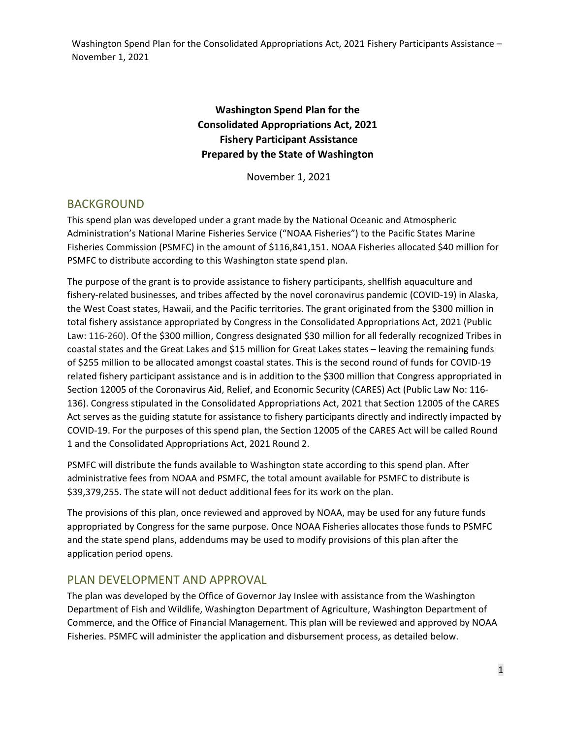## **Washington Spend Plan for the Consolidated Appropriations Act, 2021 Fishery Participant Assistance Prepared by the State of Washington**

November 1, 2021

### BACKGROUND

This spend plan was developed under a grant made by the National Oceanic and Atmospheric Administration's National Marine Fisheries Service ("NOAA Fisheries") to the Pacific States Marine Fisheries Commission (PSMFC) in the amount of \$116,841,151. NOAA Fisheries allocated \$40 million for PSMFC to distribute according to this Washington state spend plan.

The purpose of the grant is to provide assistance to fishery participants, shellfish aquaculture and fishery-related businesses, and tribes affected by the novel coronavirus pandemic (COVID-19) in Alaska, the West Coast states, Hawaii, and the Pacific territories. The grant originated from the \$300 million in total fishery assistance appropriated by Congress in the Consolidated Appropriations Act, 2021 (Public Law: 116‐260). Of the \$300 million, Congress designated \$30 million for all federally recognized Tribes in coastal states and the Great Lakes and \$15 million for Great Lakes states – leaving the remaining funds of \$255 million to be allocated amongst coastal states. This is the second round of funds for COVID‐19 related fishery participant assistance and is in addition to the \$300 million that Congress appropriated in Section 12005 of the Coronavirus Aid, Relief, and Economic Security (CARES) Act (Public Law No: 116‐ 136). Congress stipulated in the Consolidated Appropriations Act, 2021 that Section 12005 of the CARES Act serves as the guiding statute for assistance to fishery participants directly and indirectly impacted by COVID‐19. For the purposes of this spend plan, the Section 12005 of the CARES Act will be called Round 1 and the Consolidated Appropriations Act, 2021 Round 2.

PSMFC will distribute the funds available to Washington state according to this spend plan. After administrative fees from NOAA and PSMFC, the total amount available for PSMFC to distribute is \$39,379,255. The state will not deduct additional fees for its work on the plan.

The provisions of this plan, once reviewed and approved by NOAA, may be used for any future funds appropriated by Congress for the same purpose. Once NOAA Fisheries allocates those funds to PSMFC and the state spend plans, addendums may be used to modify provisions of this plan after the application period opens.

### PLAN DEVELOPMENT AND APPROVAL

The plan was developed by the Office of Governor Jay Inslee with assistance from the Washington Department of Fish and Wildlife, Washington Department of Agriculture, Washington Department of Commerce, and the Office of Financial Management. This plan will be reviewed and approved by NOAA Fisheries. PSMFC will administer the application and disbursement process, as detailed below.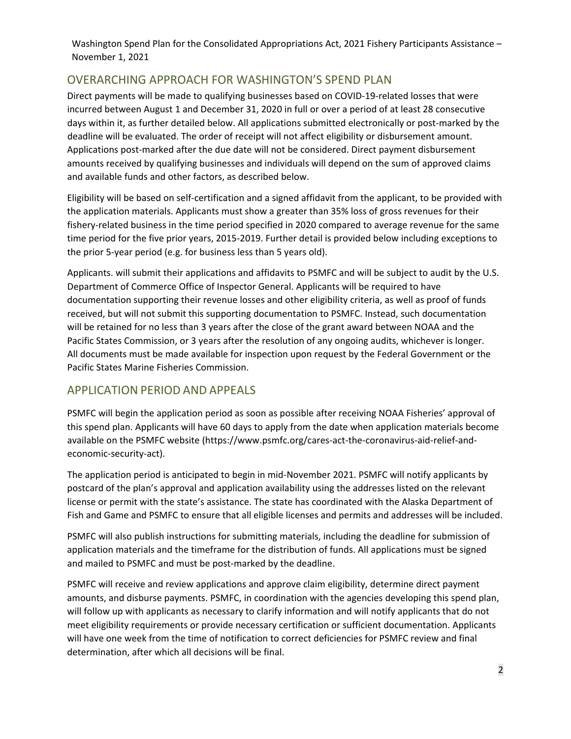# OVERARCHING APPROACH FOR WASHINGTON'S SPEND PLAN

Direct payments will be made to qualifying businesses based on COVID‐19‐related losses that were incurred between August 1 and December 31, 2020 in full or over a period of at least 28 consecutive days within it, as further detailed below. All applications submitted electronically or post-marked by the deadline will be evaluated. The order of receipt will not affect eligibility or disbursement amount. Applications post‐marked after the due date will not be considered. Direct payment disbursement amounts received by qualifying businesses and individuals will depend on the sum of approved claims and available funds and other factors, as described below.

Eligibility will be based on self‐certification and a signed affidavit from the applicant, to be provided with the application materials. Applicants must show a greater than 35% loss of gross revenues for their fishery-related business in the time period specified in 2020 compared to average revenue for the same time period for the five prior years, 2015‐2019. Further detail is provided below including exceptions to the prior 5‐year period (e.g. for business less than 5 years old).

Applicants. will submit their applications and affidavits to PSMFC and will be subject to audit by the U.S. Department of Commerce Office of Inspector General. Applicants will be required to have documentation supporting their revenue losses and other eligibility criteria, as well as proof of funds received, but will not submit this supporting documentation to PSMFC. Instead, such documentation will be retained for no less than 3 years after the close of the grant award between NOAA and the Pacific States Commission, or 3 years after the resolution of any ongoing audits, whichever is longer. All documents must be made available for inspection upon request by the Federal Government or the Pacific States Marine Fisheries Commission.

# APPLICATION PERIOD AND APPEALS

PSMFC will begin the application period as soon as possible after receiving NOAA Fisheries' approval of this spend plan. Applicants will have 60 days to apply from the date when application materials become available on the PSMFC website (https://www.psmfc.org/cares-act-the-coronavirus-aid-relief-andeconomic‐security‐act).

The application period is anticipated to begin in mid‐November 2021. PSMFC will notify applicants by postcard of the plan's approval and application availability using the addresses listed on the relevant license or permit with the state's assistance. The state has coordinated with the Alaska Department of Fish and Game and PSMFC to ensure that all eligible licenses and permits and addresses will be included.

PSMFC will also publish instructions for submitting materials, including the deadline for submission of application materials and the timeframe for the distribution of funds. All applications must be signed and mailed to PSMFC and must be post-marked by the deadline.

PSMFC will receive and review applications and approve claim eligibility, determine direct payment amounts, and disburse payments. PSMFC, in coordination with the agencies developing this spend plan, will follow up with applicants as necessary to clarify information and will notify applicants that do not meet eligibility requirements or provide necessary certification or sufficient documentation. Applicants will have one week from the time of notification to correct deficiencies for PSMFC review and final determination, after which all decisions will be final.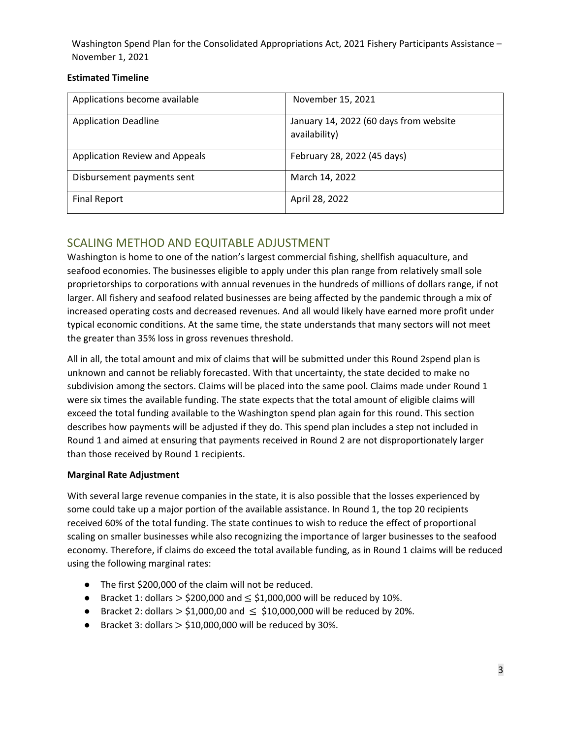#### **Estimated Timeline**

| Applications become available  | November 15, 2021                                       |
|--------------------------------|---------------------------------------------------------|
| <b>Application Deadline</b>    | January 14, 2022 (60 days from website<br>availability) |
| Application Review and Appeals | February 28, 2022 (45 days)                             |
| Disbursement payments sent     | March 14, 2022                                          |
| <b>Final Report</b>            | April 28, 2022                                          |

## SCALING METHOD AND EQUITABLE ADJUSTMENT

Washington is home to one of the nation's largest commercial fishing, shellfish aquaculture, and seafood economies. The businesses eligible to apply under this plan range from relatively small sole proprietorships to corporations with annual revenues in the hundreds of millions of dollars range, if not larger. All fishery and seafood related businesses are being affected by the pandemic through a mix of increased operating costs and decreased revenues. And all would likely have earned more profit under typical economic conditions. At the same time, the state understands that many sectors will not meet the greater than 35% loss in gross revenues threshold.

All in all, the total amount and mix of claims that will be submitted under this Round 2spend plan is unknown and cannot be reliably forecasted. With that uncertainty, the state decided to make no subdivision among the sectors. Claims will be placed into the same pool. Claims made under Round 1 were six times the available funding. The state expects that the total amount of eligible claims will exceed the total funding available to the Washington spend plan again for this round. This section describes how payments will be adjusted if they do. This spend plan includes a step not included in Round 1 and aimed at ensuring that payments received in Round 2 are not disproportionately larger than those received by Round 1 recipients.

### **Marginal Rate Adjustment**

With several large revenue companies in the state, it is also possible that the losses experienced by some could take up a major portion of the available assistance. In Round 1, the top 20 recipients received 60% of the total funding. The state continues to wish to reduce the effect of proportional scaling on smaller businesses while also recognizing the importance of larger businesses to the seafood economy. Therefore, if claims do exceed the total available funding, as in Round 1 claims will be reduced using the following marginal rates:

- The first \$200,000 of the claim will not be reduced.
- Bracket 1: dollars  $>$  \$200,000 and  $\leq$  \$1,000,000 will be reduced by 10%.
- Bracket 2: dollars  $>$  \$1,000,00 and  $\leq$  \$10,000,000 will be reduced by 20%.
- **•** Bracket 3: dollars  $>$  \$10,000,000 will be reduced by 30%.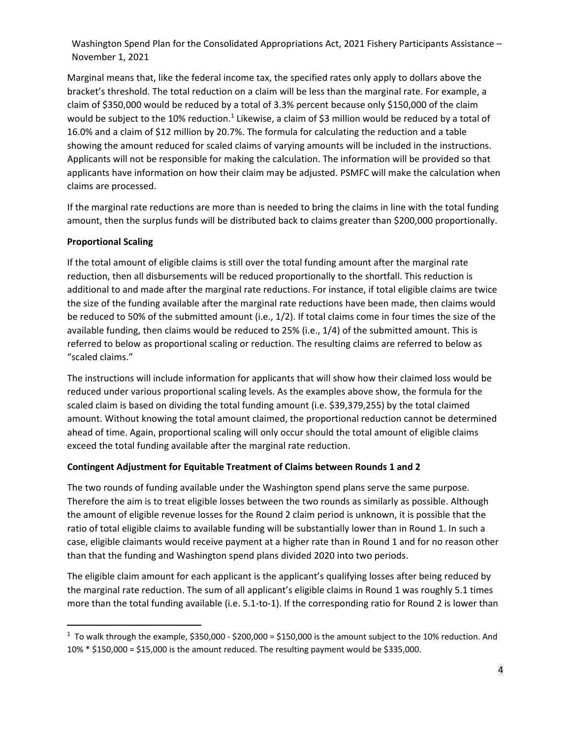Marginal means that, like the federal income tax, the specified rates only apply to dollars above the bracket's threshold. The total reduction on a claim will be less than the marginal rate. For example, a claim of \$350,000 would be reduced by a total of 3.3% percent because only \$150,000 of the claim would be subject to the 10% reduction.<sup>1</sup> Likewise, a claim of \$3 million would be reduced by a total of 16.0% and a claim of \$12 million by 20.7%. The formula for calculating the reduction and a table showing the amount reduced for scaled claims of varying amounts will be included in the instructions. Applicants will not be responsible for making the calculation. The information will be provided so that applicants have information on how their claim may be adjusted. PSMFC will make the calculation when claims are processed.

If the marginal rate reductions are more than is needed to bring the claims in line with the total funding amount, then the surplus funds will be distributed back to claims greater than \$200,000 proportionally.

### **Proportional Scaling**

If the total amount of eligible claims is still over the total funding amount after the marginal rate reduction, then all disbursements will be reduced proportionally to the shortfall. This reduction is additional to and made after the marginal rate reductions. For instance, if total eligible claims are twice the size of the funding available after the marginal rate reductions have been made, then claims would be reduced to 50% of the submitted amount (i.e., 1/2). If total claims come in four times the size of the available funding, then claims would be reduced to 25% (i.e., 1/4) of the submitted amount. This is referred to below as proportional scaling or reduction. The resulting claims are referred to below as "scaled claims."

The instructions will include information for applicants that will show how their claimed loss would be reduced under various proportional scaling levels. As the examples above show, the formula for the scaled claim is based on dividing the total funding amount (i.e. \$39,379,255) by the total claimed amount. Without knowing the total amount claimed, the proportional reduction cannot be determined ahead of time. Again, proportional scaling will only occur should the total amount of eligible claims exceed the total funding available after the marginal rate reduction.

#### **Contingent Adjustment for Equitable Treatment of Claims between Rounds 1 and 2**

The two rounds of funding available under the Washington spend plans serve the same purpose. Therefore the aim is to treat eligible losses between the two rounds as similarly as possible. Although the amount of eligible revenue losses for the Round 2 claim period is unknown, it is possible that the ratio of total eligible claims to available funding will be substantially lower than in Round 1. In such a case, eligible claimants would receive payment at a higher rate than in Round 1 and for no reason other than that the funding and Washington spend plans divided 2020 into two periods.

The eligible claim amount for each applicant is the applicant's qualifying losses after being reduced by the marginal rate reduction. The sum of all applicant's eligible claims in Round 1 was roughly 5.1 times more than the total funding available (i.e. 5.1‐to‐1). If the corresponding ratio for Round 2 is lower than

 $^1$  To walk through the example, \$350,000 - \$200,000 = \$150,000 is the amount subject to the 10% reduction. And 10% \* \$150,000 = \$15,000 is the amount reduced. The resulting payment would be \$335,000.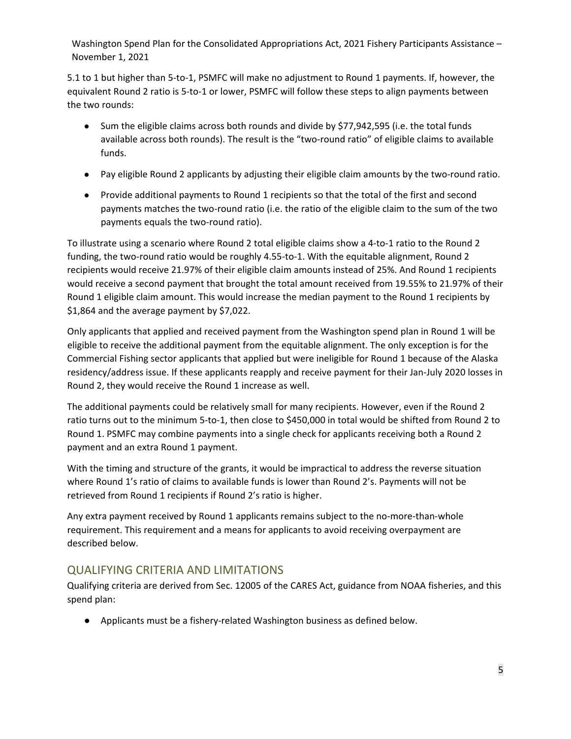5.1 to 1 but higher than 5‐to‐1, PSMFC will make no adjustment to Round 1 payments. If, however, the equivalent Round 2 ratio is 5-to-1 or lower, PSMFC will follow these steps to align payments between the two rounds:

- Sum the eligible claims across both rounds and divide by \$77,942,595 (i.e. the total funds available across both rounds). The result is the "two-round ratio" of eligible claims to available funds.
- Pay eligible Round 2 applicants by adjusting their eligible claim amounts by the two-round ratio.
- Provide additional payments to Round 1 recipients so that the total of the first and second payments matches the two-round ratio (i.e. the ratio of the eligible claim to the sum of the two payments equals the two-round ratio).

To illustrate using a scenario where Round 2 total eligible claims show a 4‐to‐1 ratio to the Round 2 funding, the two-round ratio would be roughly 4.55-to-1. With the equitable alignment, Round 2 recipients would receive 21.97% of their eligible claim amounts instead of 25%. And Round 1 recipients would receive a second payment that brought the total amount received from 19.55% to 21.97% of their Round 1 eligible claim amount. This would increase the median payment to the Round 1 recipients by \$1,864 and the average payment by \$7,022.

Only applicants that applied and received payment from the Washington spend plan in Round 1 will be eligible to receive the additional payment from the equitable alignment. The only exception is for the Commercial Fishing sector applicants that applied but were ineligible for Round 1 because of the Alaska residency/address issue. If these applicants reapply and receive payment for their Jan‐July 2020 losses in Round 2, they would receive the Round 1 increase as well.

The additional payments could be relatively small for many recipients. However, even if the Round 2 ratio turns out to the minimum 5‐to‐1, then close to \$450,000 in total would be shifted from Round 2 to Round 1. PSMFC may combine payments into a single check for applicants receiving both a Round 2 payment and an extra Round 1 payment.

With the timing and structure of the grants, it would be impractical to address the reverse situation where Round 1's ratio of claims to available funds is lower than Round 2's. Payments will not be retrieved from Round 1 recipients if Round 2's ratio is higher.

Any extra payment received by Round 1 applicants remains subject to the no-more-than-whole requirement. This requirement and a means for applicants to avoid receiving overpayment are described below.

### QUALIFYING CRITERIA AND LIMITATIONS

Qualifying criteria are derived from Sec. 12005 of the CARES Act, guidance from NOAA fisheries, and this spend plan:

● Applicants must be a fishery-related Washington business as defined below.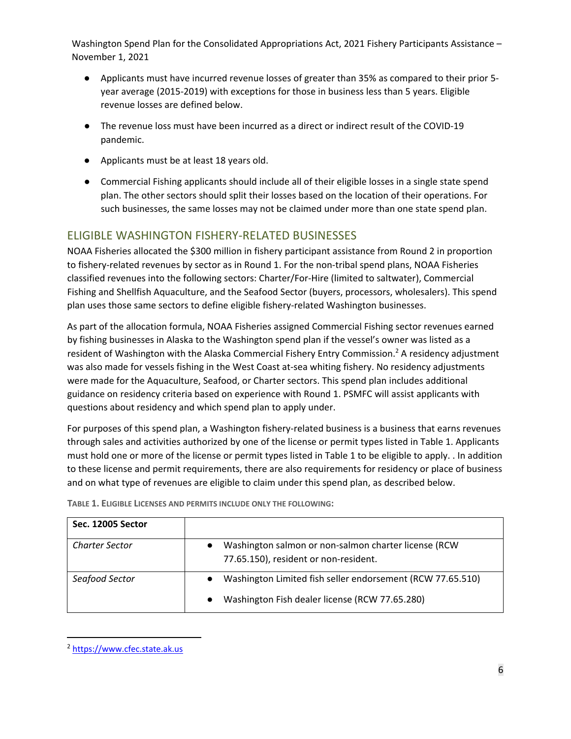- Applicants must have incurred revenue losses of greater than 35% as compared to their prior 5year average (2015-2019) with exceptions for those in business less than 5 years. Eligible revenue losses are defined below.
- The revenue loss must have been incurred as a direct or indirect result of the COVID-19 pandemic.
- Applicants must be at least 18 years old.
- Commercial Fishing applicants should include all of their eligible losses in a single state spend plan. The other sectors should split their losses based on the location of their operations. For such businesses, the same losses may not be claimed under more than one state spend plan.

## ELIGIBLE WASHINGTON FISHERY‐RELATED BUSINESSES

NOAA Fisheries allocated the \$300 million in fishery participant assistance from Round 2 in proportion to fishery-related revenues by sector as in Round 1. For the non-tribal spend plans, NOAA Fisheries classified revenues into the following sectors: Charter/For‐Hire (limited to saltwater), Commercial Fishing and Shellfish Aquaculture, and the Seafood Sector (buyers, processors, wholesalers). This spend plan uses those same sectors to define eligible fishery‐related Washington businesses.

As part of the allocation formula, NOAA Fisheries assigned Commercial Fishing sector revenues earned by fishing businesses in Alaska to the Washington spend plan if the vessel's owner was listed as a resident of Washington with the Alaska Commercial Fishery Entry Commission.<sup>2</sup> A residency adjustment was also made for vessels fishing in the West Coast at-sea whiting fishery. No residency adjustments were made for the Aquaculture, Seafood, or Charter sectors. This spend plan includes additional guidance on residency criteria based on experience with Round 1. PSMFC will assist applicants with questions about residency and which spend plan to apply under.

For purposes of this spend plan, a Washington fishery‐related business is a business that earns revenues through sales and activities authorized by one of the license or permit types listed in Table 1. Applicants must hold one or more of the license or permit types listed in Table 1 to be eligible to apply. . In addition to these license and permit requirements, there are also requirements for residency or place of business and on what type of revenues are eligible to claim under this spend plan, as described below.

| Sec. 12005 Sector     |                                                                                                                                        |
|-----------------------|----------------------------------------------------------------------------------------------------------------------------------------|
| <b>Charter Sector</b> | Washington salmon or non-salmon charter license (RCW<br>$\bullet$<br>77.65.150), resident or non-resident.                             |
| Seafood Sector        | Washington Limited fish seller endorsement (RCW 77.65.510)<br>$\bullet$<br>Washington Fish dealer license (RCW 77.65.280)<br>$\bullet$ |

**TABLE 1. ELIGIBLE LICENSES AND PERMITS INCLUDE ONLY THE FOLLOWING:**

<sup>2</sup> https://www.cfec.state.ak.us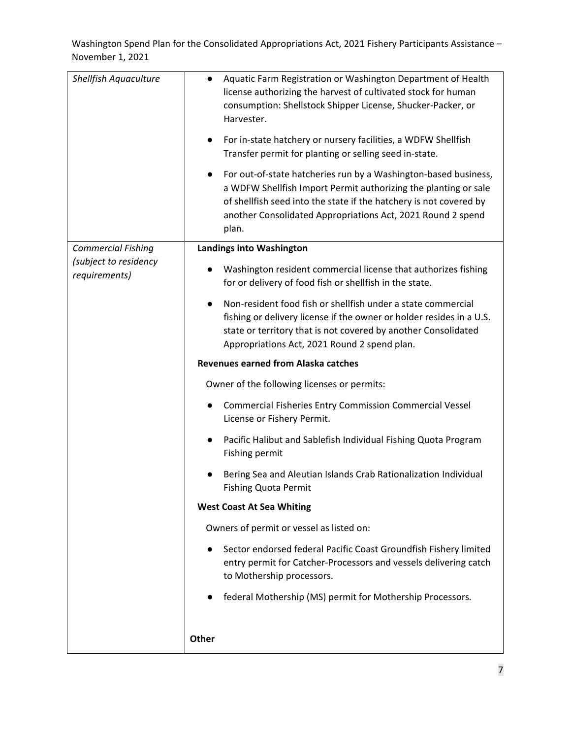| <b>Shellfish Aquaculture</b>           | Aquatic Farm Registration or Washington Department of Health<br>$\bullet$<br>license authorizing the harvest of cultivated stock for human<br>consumption: Shellstock Shipper License, Shucker-Packer, or<br>Harvester.<br>For in-state hatchery or nursery facilities, a WDFW Shellfish<br>$\bullet$<br>Transfer permit for planting or selling seed in-state.<br>For out-of-state hatcheries run by a Washington-based business,<br>$\bullet$ |
|----------------------------------------|-------------------------------------------------------------------------------------------------------------------------------------------------------------------------------------------------------------------------------------------------------------------------------------------------------------------------------------------------------------------------------------------------------------------------------------------------|
|                                        | a WDFW Shellfish Import Permit authorizing the planting or sale<br>of shellfish seed into the state if the hatchery is not covered by<br>another Consolidated Appropriations Act, 2021 Round 2 spend<br>plan.                                                                                                                                                                                                                                   |
| <b>Commercial Fishing</b>              | <b>Landings into Washington</b>                                                                                                                                                                                                                                                                                                                                                                                                                 |
| (subject to residency<br>requirements) | Washington resident commercial license that authorizes fishing<br>$\bullet$<br>for or delivery of food fish or shellfish in the state.                                                                                                                                                                                                                                                                                                          |
|                                        | Non-resident food fish or shellfish under a state commercial<br>fishing or delivery license if the owner or holder resides in a U.S.<br>state or territory that is not covered by another Consolidated<br>Appropriations Act, 2021 Round 2 spend plan.                                                                                                                                                                                          |
|                                        | <b>Revenues earned from Alaska catches</b>                                                                                                                                                                                                                                                                                                                                                                                                      |
|                                        | Owner of the following licenses or permits:                                                                                                                                                                                                                                                                                                                                                                                                     |
|                                        | <b>Commercial Fisheries Entry Commission Commercial Vessel</b><br>$\bullet$<br>License or Fishery Permit.                                                                                                                                                                                                                                                                                                                                       |
|                                        | Pacific Halibut and Sablefish Individual Fishing Quota Program<br>$\bullet$<br>Fishing permit                                                                                                                                                                                                                                                                                                                                                   |
|                                        | Bering Sea and Aleutian Islands Crab Rationalization Individual<br><b>Fishing Quota Permit</b>                                                                                                                                                                                                                                                                                                                                                  |
|                                        | <b>West Coast At Sea Whiting</b>                                                                                                                                                                                                                                                                                                                                                                                                                |
|                                        | Owners of permit or vessel as listed on:                                                                                                                                                                                                                                                                                                                                                                                                        |
|                                        | Sector endorsed federal Pacific Coast Groundfish Fishery limited<br>$\bullet$<br>entry permit for Catcher-Processors and vessels delivering catch<br>to Mothership processors.                                                                                                                                                                                                                                                                  |
|                                        | federal Mothership (MS) permit for Mothership Processors.                                                                                                                                                                                                                                                                                                                                                                                       |
|                                        | <b>Other</b>                                                                                                                                                                                                                                                                                                                                                                                                                                    |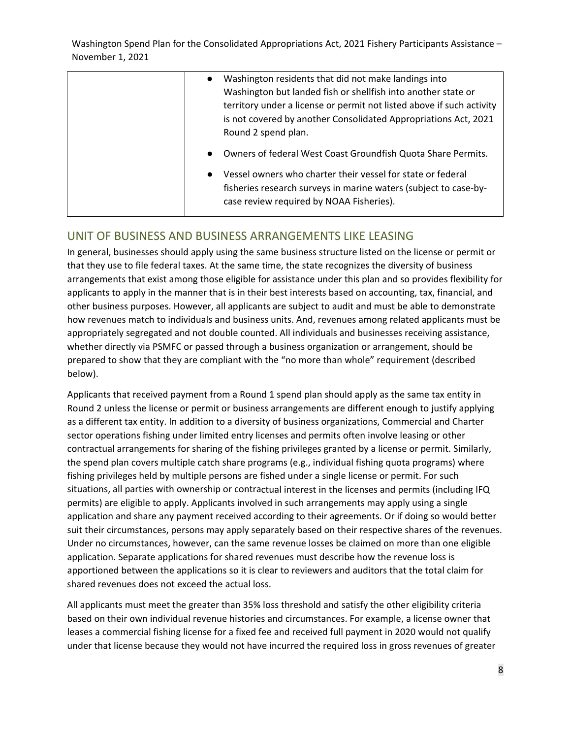| Washington residents that did not make landings into<br>$\bullet$<br>Washington but landed fish or shellfish into another state or<br>territory under a license or permit not listed above if such activity<br>is not covered by another Consolidated Appropriations Act, 2021<br>Round 2 spend plan. |
|-------------------------------------------------------------------------------------------------------------------------------------------------------------------------------------------------------------------------------------------------------------------------------------------------------|
| Owners of federal West Coast Groundfish Quota Share Permits.<br>$\bullet$<br>Vessel owners who charter their vessel for state or federal<br>$\bullet$                                                                                                                                                 |
| fisheries research surveys in marine waters (subject to case-by-<br>case review required by NOAA Fisheries).                                                                                                                                                                                          |

### UNIT OF BUSINESS AND BUSINESS ARRANGEMENTS LIKE LEASING

In general, businesses should apply using the same business structure listed on the license or permit or that they use to file federal taxes. At the same time, the state recognizes the diversity of business arrangements that exist among those eligible for assistance under this plan and so provides flexibility for applicants to apply in the manner that is in their best interests based on accounting, tax, financial, and other business purposes. However, all applicants are subject to audit and must be able to demonstrate how revenues match to individuals and business units. And, revenues among related applicants must be appropriately segregated and not double counted. All individuals and businesses receiving assistance, whether directly via PSMFC or passed through a business organization or arrangement, should be prepared to show that they are compliant with the "no more than whole" requirement (described below).

Applicants that received payment from a Round 1 spend plan should apply as the same tax entity in Round 2 unless the license or permit or business arrangements are different enough to justify applying as a different tax entity. In addition to a diversity of business organizations, Commercial and Charter sector operations fishing under limited entry licenses and permits often involve leasing or other contractual arrangements for sharing of the fishing privileges granted by a license or permit. Similarly, the spend plan covers multiple catch share programs (e.g., individual fishing quota programs) where fishing privileges held by multiple persons are fished under a single license or permit. For such situations, all parties with ownership or contractual interest in the licenses and permits (including IFQ permits) are eligible to apply. Applicants involved in such arrangements may apply using a single application and share any payment received according to their agreements. Or if doing so would better suit their circumstances, persons may apply separately based on their respective shares of the revenues. Under no circumstances, however, can the same revenue losses be claimed on more than one eligible application. Separate applications for shared revenues must describe how the revenue loss is apportioned between the applications so it is clear to reviewers and auditors that the total claim for shared revenues does not exceed the actual loss.

All applicants must meet the greater than 35% loss threshold and satisfy the other eligibility criteria based on their own individual revenue histories and circumstances. For example, a license owner that leases a commercial fishing license for a fixed fee and received full payment in 2020 would not qualify under that license because they would not have incurred the required loss in gross revenues of greater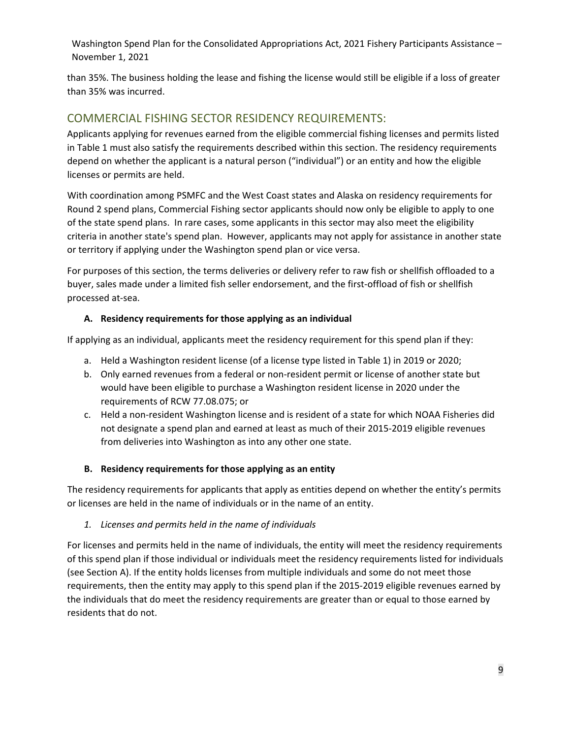than 35%. The business holding the lease and fishing the license would still be eligible if a loss of greater than 35% was incurred.

# COMMERCIAL FISHING SECTOR RESIDENCY REQUIREMENTS:

Applicants applying for revenues earned from the eligible commercial fishing licenses and permits listed in Table 1 must also satisfy the requirements described within this section. The residency requirements depend on whether the applicant is a natural person ("individual") or an entity and how the eligible licenses or permits are held.

With coordination among PSMFC and the West Coast states and Alaska on residency requirements for Round 2 spend plans, Commercial Fishing sector applicants should now only be eligible to apply to one of the state spend plans. In rare cases, some applicants in this sector may also meet the eligibility criteria in another state's spend plan. However, applicants may not apply for assistance in another state or territory if applying under the Washington spend plan or vice versa.

For purposes of this section, the terms deliveries or delivery refer to raw fish or shellfish offloaded to a buyer, sales made under a limited fish seller endorsement, and the first‐offload of fish or shellfish processed at‐sea.

### **A. Residency requirements for those applying as an individual**

If applying as an individual, applicants meet the residency requirement for this spend plan if they:

- a. Held a Washington resident license (of a license type listed in Table 1) in 2019 or 2020;
- b. Only earned revenues from a federal or non‐resident permit or license of another state but would have been eligible to purchase a Washington resident license in 2020 under the requirements of RCW 77.08.075; or
- c. Held a non‐resident Washington license and is resident of a state for which NOAA Fisheries did not designate a spend plan and earned at least as much of their 2015‐2019 eligible revenues from deliveries into Washington as into any other one state.

### **B. Residency requirements for those applying as an entity**

The residency requirements for applicants that apply as entities depend on whether the entity's permits or licenses are held in the name of individuals or in the name of an entity.

### *1. Licenses and permits held in the name of individuals*

For licenses and permits held in the name of individuals, the entity will meet the residency requirements of this spend plan if those individual or individuals meet the residency requirements listed for individuals (see Section A). If the entity holds licenses from multiple individuals and some do not meet those requirements, then the entity may apply to this spend plan if the 2015‐2019 eligible revenues earned by the individuals that do meet the residency requirements are greater than or equal to those earned by residents that do not.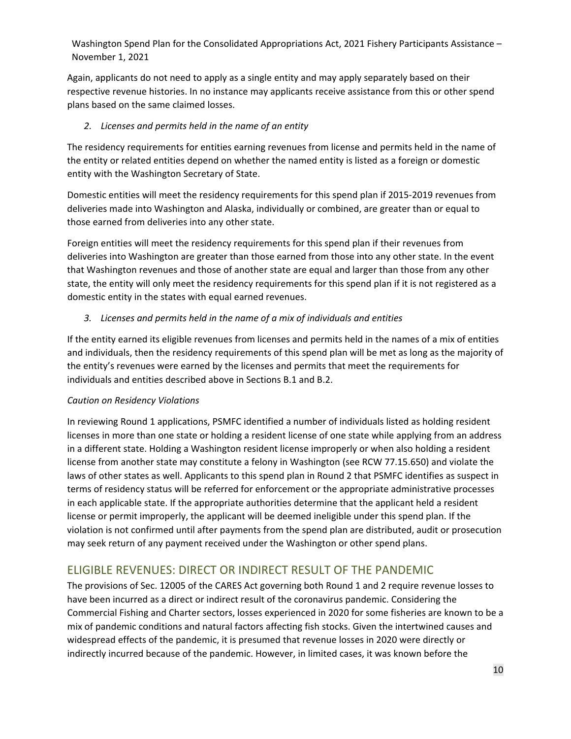Again, applicants do not need to apply as a single entity and may apply separately based on their respective revenue histories. In no instance may applicants receive assistance from this or other spend plans based on the same claimed losses.

#### *2. Licenses and permits held in the name of an entity*

The residency requirements for entities earning revenues from license and permits held in the name of the entity or related entities depend on whether the named entity is listed as a foreign or domestic entity with the Washington Secretary of State.

Domestic entities will meet the residency requirements for this spend plan if 2015‐2019 revenues from deliveries made into Washington and Alaska, individually or combined, are greater than or equal to those earned from deliveries into any other state.

Foreign entities will meet the residency requirements for this spend plan if their revenues from deliveries into Washington are greater than those earned from those into any other state. In the event that Washington revenues and those of another state are equal and larger than those from any other state, the entity will only meet the residency requirements for this spend plan if it is not registered as a domestic entity in the states with equal earned revenues.

### *3. Licenses and permits held in the name of a mix of individuals and entities*

If the entity earned its eligible revenues from licenses and permits held in the names of a mix of entities and individuals, then the residency requirements of this spend plan will be met as long as the majority of the entity's revenues were earned by the licenses and permits that meet the requirements for individuals and entities described above in Sections B.1 and B.2.

### *Caution on Residency Violations*

In reviewing Round 1 applications, PSMFC identified a number of individuals listed as holding resident licenses in more than one state or holding a resident license of one state while applying from an address in a different state. Holding a Washington resident license improperly or when also holding a resident license from another state may constitute a felony in Washington (see RCW 77.15.650) and violate the laws of other states as well. Applicants to this spend plan in Round 2 that PSMFC identifies as suspect in terms of residency status will be referred for enforcement or the appropriate administrative processes in each applicable state. If the appropriate authorities determine that the applicant held a resident license or permit improperly, the applicant will be deemed ineligible under this spend plan. If the violation is not confirmed until after payments from the spend plan are distributed, audit or prosecution may seek return of any payment received under the Washington or other spend plans.

### ELIGIBLE REVENUES: DIRECT OR INDIRECT RESULT OF THE PANDEMIC

The provisions of Sec. 12005 of the CARES Act governing both Round 1 and 2 require revenue losses to have been incurred as a direct or indirect result of the coronavirus pandemic. Considering the Commercial Fishing and Charter sectors, losses experienced in 2020 for some fisheries are known to be a mix of pandemic conditions and natural factors affecting fish stocks. Given the intertwined causes and widespread effects of the pandemic, it is presumed that revenue losses in 2020 were directly or indirectly incurred because of the pandemic. However, in limited cases, it was known before the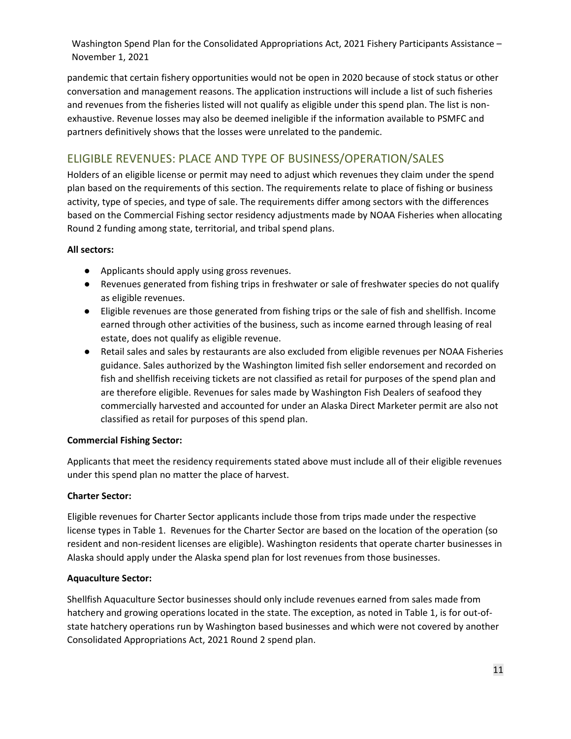pandemic that certain fishery opportunities would not be open in 2020 because of stock status or other conversation and management reasons. The application instructions will include a list of such fisheries and revenues from the fisheries listed will not qualify as eligible under this spend plan. The list is nonexhaustive. Revenue losses may also be deemed ineligible if the information available to PSMFC and partners definitively shows that the losses were unrelated to the pandemic.

# ELIGIBLE REVENUES: PLACE AND TYPE OF BUSINESS/OPERATION/SALES

Holders of an eligible license or permit may need to adjust which revenues they claim under the spend plan based on the requirements of this section. The requirements relate to place of fishing or business activity, type of species, and type of sale. The requirements differ among sectors with the differences based on the Commercial Fishing sector residency adjustments made by NOAA Fisheries when allocating Round 2 funding among state, territorial, and tribal spend plans.

### **All sectors:**

- Applicants should apply using gross revenues.
- Revenues generated from fishing trips in freshwater or sale of freshwater species do not qualify as eligible revenues.
- Eligible revenues are those generated from fishing trips or the sale of fish and shellfish. Income earned through other activities of the business, such as income earned through leasing of real estate, does not qualify as eligible revenue.
- Retail sales and sales by restaurants are also excluded from eligible revenues per NOAA Fisheries guidance. Sales authorized by the Washington limited fish seller endorsement and recorded on fish and shellfish receiving tickets are not classified as retail for purposes of the spend plan and are therefore eligible. Revenues for sales made by Washington Fish Dealers of seafood they commercially harvested and accounted for under an Alaska Direct Marketer permit are also not classified as retail for purposes of this spend plan.

### **Commercial Fishing Sector:**

Applicants that meet the residency requirements stated above must include all of their eligible revenues under this spend plan no matter the place of harvest.

### **Charter Sector:**

Eligible revenues for Charter Sector applicants include those from trips made under the respective license types in Table 1. Revenues for the Charter Sector are based on the location of the operation (so resident and non‐resident licenses are eligible). Washington residents that operate charter businesses in Alaska should apply under the Alaska spend plan for lost revenues from those businesses.

### **Aquaculture Sector:**

Shellfish Aquaculture Sector businesses should only include revenues earned from sales made from hatchery and growing operations located in the state. The exception, as noted in Table 1, is for out-ofstate hatchery operations run by Washington based businesses and which were not covered by another Consolidated Appropriations Act, 2021 Round 2 spend plan.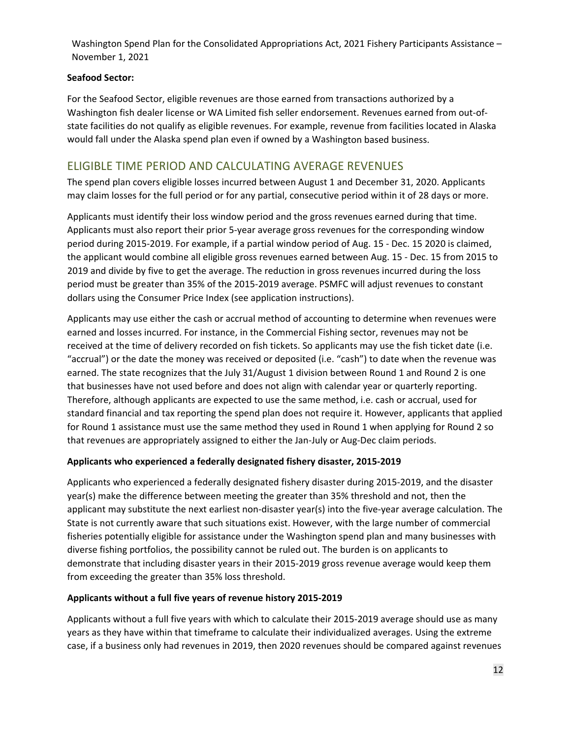### **Seafood Sector:**

For the Seafood Sector, eligible revenues are those earned from transactions authorized by a Washington fish dealer license or WA Limited fish seller endorsement. Revenues earned from out‐of‐ state facilities do not qualify as eligible revenues. For example, revenue from facilities located in Alaska would fall under the Alaska spend plan even if owned by a Washington based business.

### ELIGIBLE TIME PERIOD AND CALCULATING AVERAGE REVENUES

The spend plan covers eligible losses incurred between August 1 and December 31, 2020. Applicants may claim losses for the full period or for any partial, consecutive period within it of 28 days or more.

Applicants must identify their loss window period and the gross revenues earned during that time. Applicants must also report their prior 5‐year average gross revenues for the corresponding window period during 2015‐2019. For example, if a partial window period of Aug. 15 ‐ Dec. 15 2020 is claimed, the applicant would combine all eligible gross revenues earned between Aug. 15 ‐ Dec. 15 from 2015 to 2019 and divide by five to get the average. The reduction in gross revenues incurred during the loss period must be greater than 35% of the 2015‐2019 average. PSMFC will adjust revenues to constant dollars using the Consumer Price Index (see application instructions).

Applicants may use either the cash or accrual method of accounting to determine when revenues were earned and losses incurred. For instance, in the Commercial Fishing sector, revenues may not be received at the time of delivery recorded on fish tickets. So applicants may use the fish ticket date (i.e. "accrual") or the date the money was received or deposited (i.e. "cash") to date when the revenue was earned. The state recognizes that the July 31/August 1 division between Round 1 and Round 2 is one that businesses have not used before and does not align with calendar year or quarterly reporting. Therefore, although applicants are expected to use the same method, i.e. cash or accrual, used for standard financial and tax reporting the spend plan does not require it. However, applicants that applied for Round 1 assistance must use the same method they used in Round 1 when applying for Round 2 so that revenues are appropriately assigned to either the Jan‐July or Aug‐Dec claim periods.

### **Applicants who experienced a federally designated fishery disaster, 2015‐2019**

Applicants who experienced a federally designated fishery disaster during 2015‐2019, and the disaster year(s) make the difference between meeting the greater than 35% threshold and not, then the applicant may substitute the next earliest non-disaster year(s) into the five-year average calculation. The State is not currently aware that such situations exist. However, with the large number of commercial fisheries potentially eligible for assistance under the Washington spend plan and many businesses with diverse fishing portfolios, the possibility cannot be ruled out. The burden is on applicants to demonstrate that including disaster years in their 2015‐2019 gross revenue average would keep them from exceeding the greater than 35% loss threshold.

### **Applicants without a full five years of revenue history 2015‐2019**

Applicants without a full five years with which to calculate their 2015‐2019 average should use as many years as they have within that timeframe to calculate their individualized averages. Using the extreme case, if a business only had revenues in 2019, then 2020 revenues should be compared against revenues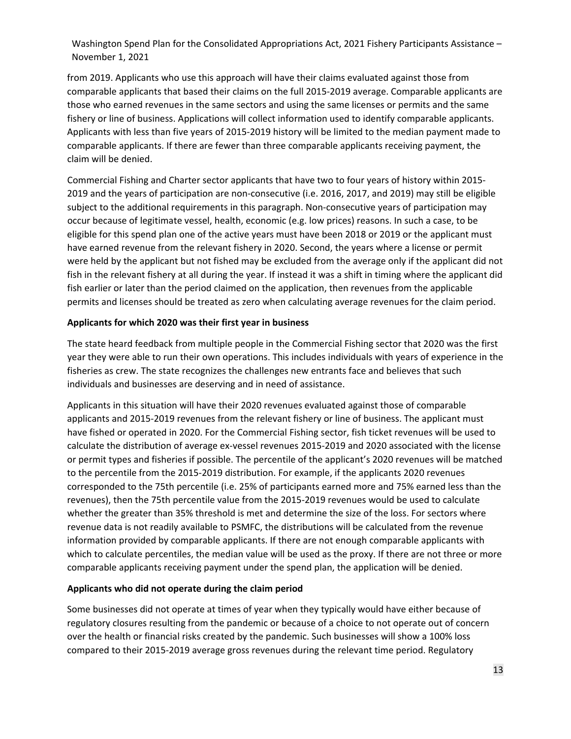from 2019. Applicants who use this approach will have their claims evaluated against those from comparable applicants that based their claims on the full 2015‐2019 average. Comparable applicants are those who earned revenues in the same sectors and using the same licenses or permits and the same fishery or line of business. Applications will collect information used to identify comparable applicants. Applicants with less than five years of 2015‐2019 history will be limited to the median payment made to comparable applicants. If there are fewer than three comparable applicants receiving payment, the claim will be denied.

Commercial Fishing and Charter sector applicants that have two to four years of history within 2015‐ 2019 and the years of participation are non‐consecutive (i.e. 2016, 2017, and 2019) may still be eligible subject to the additional requirements in this paragraph. Non-consecutive years of participation may occur because of legitimate vessel, health, economic (e.g. low prices) reasons. In such a case, to be eligible for this spend plan one of the active years must have been 2018 or 2019 or the applicant must have earned revenue from the relevant fishery in 2020. Second, the years where a license or permit were held by the applicant but not fished may be excluded from the average only if the applicant did not fish in the relevant fishery at all during the year. If instead it was a shift in timing where the applicant did fish earlier or later than the period claimed on the application, then revenues from the applicable permits and licenses should be treated as zero when calculating average revenues for the claim period.

#### **Applicants for which 2020 was their first year in business**

The state heard feedback from multiple people in the Commercial Fishing sector that 2020 was the first year they were able to run their own operations. This includes individuals with years of experience in the fisheries as crew. The state recognizes the challenges new entrants face and believes that such individuals and businesses are deserving and in need of assistance.

Applicants in this situation will have their 2020 revenues evaluated against those of comparable applicants and 2015‐2019 revenues from the relevant fishery or line of business. The applicant must have fished or operated in 2020. For the Commercial Fishing sector, fish ticket revenues will be used to calculate the distribution of average ex‐vessel revenues 2015‐2019 and 2020 associated with the license or permit types and fisheries if possible. The percentile of the applicant's 2020 revenues will be matched to the percentile from the 2015-2019 distribution. For example, if the applicants 2020 revenues corresponded to the 75th percentile (i.e. 25% of participants earned more and 75% earned less than the revenues), then the 75th percentile value from the 2015‐2019 revenues would be used to calculate whether the greater than 35% threshold is met and determine the size of the loss. For sectors where revenue data is not readily available to PSMFC, the distributions will be calculated from the revenue information provided by comparable applicants. If there are not enough comparable applicants with which to calculate percentiles, the median value will be used as the proxy. If there are not three or more comparable applicants receiving payment under the spend plan, the application will be denied.

#### **Applicants who did not operate during the claim period**

Some businesses did not operate at times of year when they typically would have either because of regulatory closures resulting from the pandemic or because of a choice to not operate out of concern over the health or financial risks created by the pandemic. Such businesses will show a 100% loss compared to their 2015‐2019 average gross revenues during the relevant time period. Regulatory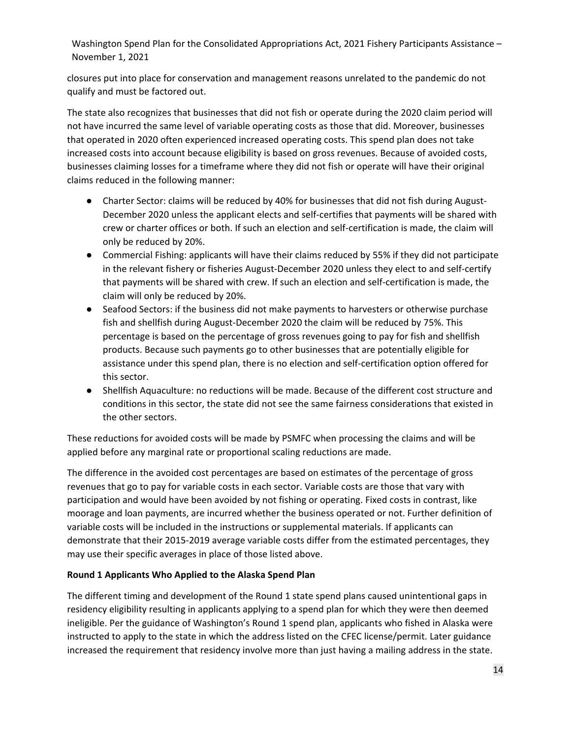closures put into place for conservation and management reasons unrelated to the pandemic do not qualify and must be factored out.

The state also recognizes that businesses that did not fish or operate during the 2020 claim period will not have incurred the same level of variable operating costs as those that did. Moreover, businesses that operated in 2020 often experienced increased operating costs. This spend plan does not take increased costs into account because eligibility is based on gross revenues. Because of avoided costs, businesses claiming losses for a timeframe where they did not fish or operate will have their original claims reduced in the following manner:

- Charter Sector: claims will be reduced by 40% for businesses that did not fish during August-December 2020 unless the applicant elects and self-certifies that payments will be shared with crew or charter offices or both. If such an election and self‐certification is made, the claim will only be reduced by 20%.
- Commercial Fishing: applicants will have their claims reduced by 55% if they did not participate in the relevant fishery or fisheries August‐December 2020 unless they elect to and self‐certify that payments will be shared with crew. If such an election and self‐certification is made, the claim will only be reduced by 20%.
- Seafood Sectors: if the business did not make payments to harvesters or otherwise purchase fish and shellfish during August‐December 2020 the claim will be reduced by 75%. This percentage is based on the percentage of gross revenues going to pay for fish and shellfish products. Because such payments go to other businesses that are potentially eligible for assistance under this spend plan, there is no election and self‐certification option offered for this sector.
- Shellfish Aquaculture: no reductions will be made. Because of the different cost structure and conditions in this sector, the state did not see the same fairness considerations that existed in the other sectors.

These reductions for avoided costs will be made by PSMFC when processing the claims and will be applied before any marginal rate or proportional scaling reductions are made.

The difference in the avoided cost percentages are based on estimates of the percentage of gross revenues that go to pay for variable costs in each sector. Variable costs are those that vary with participation and would have been avoided by not fishing or operating. Fixed costs in contrast, like moorage and loan payments, are incurred whether the business operated or not. Further definition of variable costs will be included in the instructions or supplemental materials. If applicants can demonstrate that their 2015‐2019 average variable costs differ from the estimated percentages, they may use their specific averages in place of those listed above.

### **Round 1 Applicants Who Applied to the Alaska Spend Plan**

The different timing and development of the Round 1 state spend plans caused unintentional gaps in residency eligibility resulting in applicants applying to a spend plan for which they were then deemed ineligible. Per the guidance of Washington's Round 1 spend plan, applicants who fished in Alaska were instructed to apply to the state in which the address listed on the CFEC license/permit. Later guidance increased the requirement that residency involve more than just having a mailing address in the state.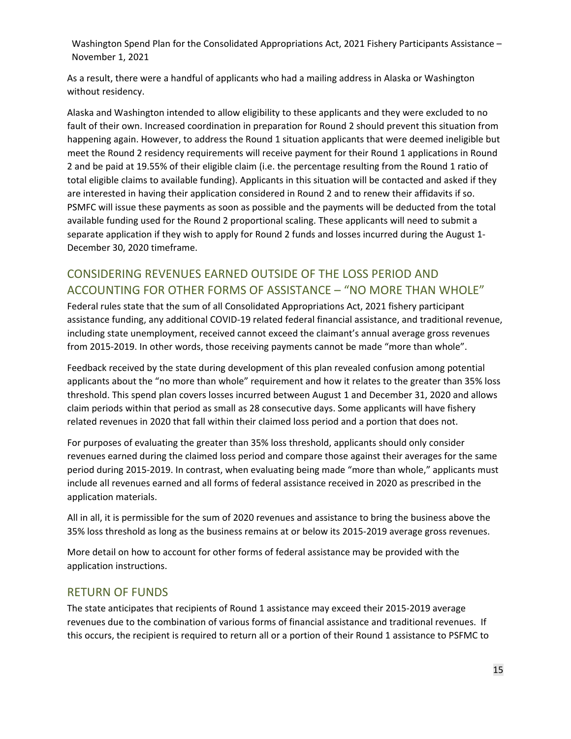As a result, there were a handful of applicants who had a mailing address in Alaska or Washington without residency.

Alaska and Washington intended to allow eligibility to these applicants and they were excluded to no fault of their own. Increased coordination in preparation for Round 2 should prevent this situation from happening again. However, to address the Round 1 situation applicants that were deemed ineligible but meet the Round 2 residency requirements will receive payment for their Round 1 applications in Round 2 and be paid at 19.55% of their eligible claim (i.e. the percentage resulting from the Round 1 ratio of total eligible claims to available funding). Applicants in this situation will be contacted and asked if they are interested in having their application considered in Round 2 and to renew their affidavits if so. PSMFC will issue these payments as soon as possible and the payments will be deducted from the total available funding used for the Round 2 proportional scaling. These applicants will need to submit a separate application if they wish to apply for Round 2 funds and losses incurred during the August 1‐ December 30, 2020 timeframe.

# CONSIDERING REVENUES EARNED OUTSIDE OF THE LOSS PERIOD AND ACCOUNTING FOR OTHER FORMS OF ASSISTANCE – "NO MORE THAN WHOLE"

Federal rules state that the sum of all Consolidated Appropriations Act, 2021 fishery participant assistance funding, any additional COVID‐19 related federal financial assistance, and traditional revenue, including state unemployment, received cannot exceed the claimant's annual average gross revenues from 2015‐2019. In other words, those receiving payments cannot be made "more than whole".

Feedback received by the state during development of this plan revealed confusion among potential applicants about the "no more than whole" requirement and how it relates to the greater than 35% loss threshold. This spend plan covers losses incurred between August 1 and December 31, 2020 and allows claim periods within that period as small as 28 consecutive days. Some applicants will have fishery related revenues in 2020 that fall within their claimed loss period and a portion that does not.

For purposes of evaluating the greater than 35% loss threshold, applicants should only consider revenues earned during the claimed loss period and compare those against their averages for the same period during 2015‐2019. In contrast, when evaluating being made "more than whole," applicants must include all revenues earned and all forms of federal assistance received in 2020 as prescribed in the application materials.

All in all, it is permissible for the sum of 2020 revenues and assistance to bring the business above the 35% loss threshold as long as the business remains at or below its 2015‐2019 average gross revenues.

More detail on how to account for other forms of federal assistance may be provided with the application instructions.

# RETURN OF FUNDS

The state anticipates that recipients of Round 1 assistance may exceed their 2015‐2019 average revenues due to the combination of various forms of financial assistance and traditional revenues. If this occurs, the recipient is required to return all or a portion of their Round 1 assistance to PSFMC to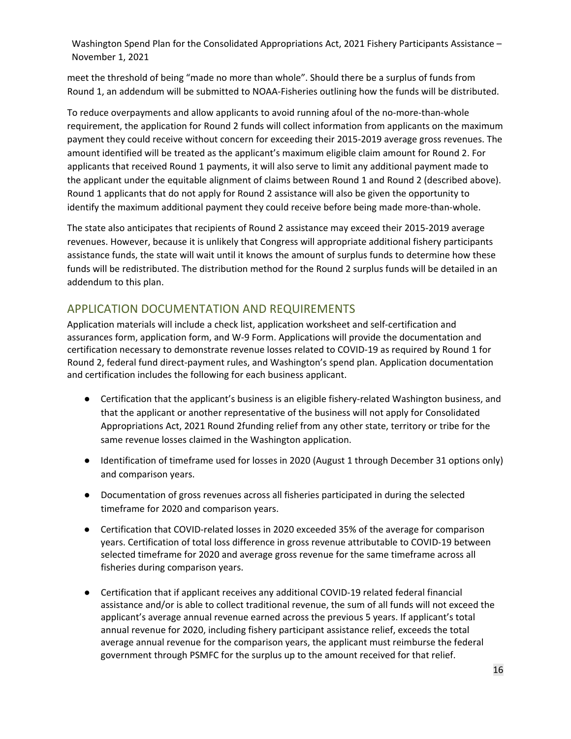meet the threshold of being "made no more than whole". Should there be a surplus of funds from Round 1, an addendum will be submitted to NOAA‐Fisheries outlining how the funds will be distributed.

To reduce overpayments and allow applicants to avoid running afoul of the no-more-than-whole requirement, the application for Round 2 funds will collect information from applicants on the maximum payment they could receive without concern for exceeding their 2015‐2019 average gross revenues. The amount identified will be treated as the applicant's maximum eligible claim amount for Round 2. For applicants that received Round 1 payments, it will also serve to limit any additional payment made to the applicant under the equitable alignment of claims between Round 1 and Round 2 (described above). Round 1 applicants that do not apply for Round 2 assistance will also be given the opportunity to identify the maximum additional payment they could receive before being made more-than-whole.

The state also anticipates that recipients of Round 2 assistance may exceed their 2015‐2019 average revenues. However, because it is unlikely that Congress will appropriate additional fishery participants assistance funds, the state will wait until it knows the amount of surplus funds to determine how these funds will be redistributed. The distribution method for the Round 2 surplus funds will be detailed in an addendum to this plan.

## APPLICATION DOCUMENTATION AND REQUIREMENTS

Application materials will include a check list, application worksheet and self‐certification and assurances form, application form, and W‐9 Form. Applications will provide the documentation and certification necessary to demonstrate revenue losses related to COVID‐19 as required by Round 1 for Round 2, federal fund direct‐payment rules, and Washington's spend plan. Application documentation and certification includes the following for each business applicant.

- Certification that the applicant's business is an eligible fishery-related Washington business, and that the applicant or another representative of the business will not apply for Consolidated Appropriations Act, 2021 Round 2funding relief from any other state, territory or tribe for the same revenue losses claimed in the Washington application.
- Identification of timeframe used for losses in 2020 (August 1 through December 31 options only) and comparison years.
- Documentation of gross revenues across all fisheries participated in during the selected timeframe for 2020 and comparison years.
- Certification that COVID-related losses in 2020 exceeded 35% of the average for comparison years. Certification of total loss difference in gross revenue attributable to COVID‐19 between selected timeframe for 2020 and average gross revenue for the same timeframe across all fisheries during comparison years.
- Certification that if applicant receives any additional COVID-19 related federal financial assistance and/or is able to collect traditional revenue, the sum of all funds will not exceed the applicant's average annual revenue earned across the previous 5 years. If applicant's total annual revenue for 2020, including fishery participant assistance relief, exceeds the total average annual revenue for the comparison years, the applicant must reimburse the federal government through PSMFC for the surplus up to the amount received for that relief.